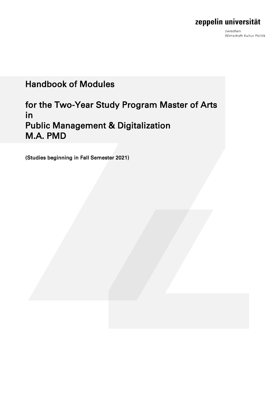# zeppelin universität

zwischen Wirtschaft Kultur Politik

# Handbook of Modules

# for the Two-Year Study Program Master of Arts in Public Management & Digitalization M.A. PMD

(Studies beginning in Fall Semester 2021)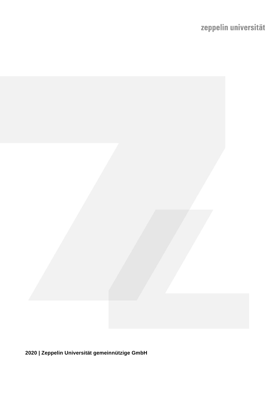

**2020 | Zeppelin Universität gemeinnützige GmbH**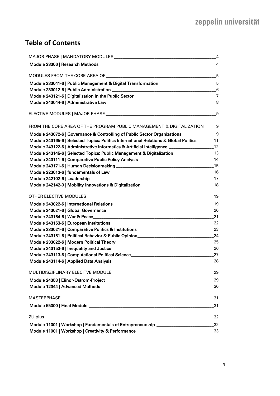# **Teble of Contents**

|                                                                                                                                            | 4              |
|--------------------------------------------------------------------------------------------------------------------------------------------|----------------|
|                                                                                                                                            | 4              |
|                                                                                                                                            | 5              |
| Module 233041-6   Public Management & Digital Transformation____________________                                                           | $-5$           |
|                                                                                                                                            | 6              |
| Module 243121-6   Digitalization in the Public Sector __________________________                                                           | $\overline{7}$ |
|                                                                                                                                            | 8              |
|                                                                                                                                            | 9              |
| FROM THE CORE AREA OF THE PROGRAM PUBLIC MANAGEMENT & DIGITALIZATION 9                                                                     |                |
| Module 243072-6   Governance & Controlling of Public Sector Organizations ____________                                                     | $_{9}$         |
| Module 243165-6   Selected Topics: Politics International Relations & Global Politics_______11                                             |                |
| Module 243122-6   Administrative Informatics & Artificial Intelligence ___________________12                                               |                |
| Module 243145-6   Selected Topics: Public Management & Digitalization _________________13                                                  |                |
| Module 243111-6   Comparative Public Policy Analysis ____________________________14                                                        |                |
|                                                                                                                                            |                |
|                                                                                                                                            |                |
|                                                                                                                                            |                |
| Module 242142-0   Mobility Innovations & Digitalization ___________________________________18                                              |                |
| OTHER ELECTIVE MODULES AND AN INTERNATIONAL SERVICES AND A STRUCK AND A STRUCK AND A STRUCK AND A STRUCK AND A                             |                |
|                                                                                                                                            |                |
|                                                                                                                                            | 20             |
|                                                                                                                                            | 21             |
|                                                                                                                                            | 22             |
|                                                                                                                                            |                |
|                                                                                                                                            |                |
|                                                                                                                                            |                |
|                                                                                                                                            |                |
|                                                                                                                                            |                |
| Module 243114-6   Applied Data Analysis                                                                                                    | 28             |
|                                                                                                                                            | 29             |
|                                                                                                                                            | 29             |
|                                                                                                                                            | 30             |
| <b>MASTERPHASE</b><br><u> 2000 - 2000 - 2000 - 2000 - 2000 - 2000 - 2000 - 2000 - 2000 - 2000 - 2000 - 2000 - 2000 - 2000 - 2000 - 200</u> | 31             |
|                                                                                                                                            | 31             |
| ZU plus                                                                                                                                    | 32             |
| Module 11001   Workshop   Fundamentals of Entrepreneurship _____________________                                                           | 32             |
| Module 11001   Workshop   Creativity & Performance ___________________________________33                                                   |                |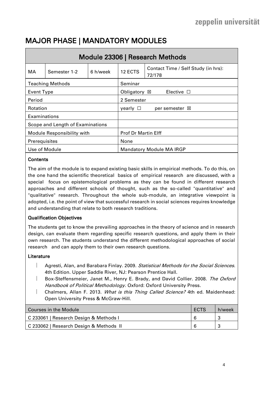# <span id="page-3-0"></span>MAJOR PHASE | MANDATORY MODULES

<span id="page-3-1"></span>

|                                  | Module 23306   Research Methods |                                           |                                 |                                               |  |
|----------------------------------|---------------------------------|-------------------------------------------|---------------------------------|-----------------------------------------------|--|
| МA                               | Semester 1-2                    | 6 h/week                                  | 12 ECTS                         | Contact Time / Self Study (in hrs):<br>72/178 |  |
| <b>Teaching Methods</b>          |                                 | Seminar                                   |                                 |                                               |  |
| <b>Event Type</b>                |                                 |                                           | Obligatory ⊠<br>Elective $\Box$ |                                               |  |
| Period                           |                                 | 2 Semester                                |                                 |                                               |  |
| Rotation                         |                                 | yearly $\Box$<br>per semester $\boxtimes$ |                                 |                                               |  |
| Examinations                     |                                 |                                           |                                 |                                               |  |
| Scope and Length of Examinations |                                 |                                           |                                 |                                               |  |
| Module Responsibility with       |                                 | <b>Prof Dr Martin Elff</b>                |                                 |                                               |  |
| Prerequisites                    |                                 | None                                      |                                 |                                               |  |
| Use of Module                    |                                 | <b>Mandatory Module MA IRGP</b>           |                                 |                                               |  |

## **Contents**

The aim of the module is to expand existing basic skills in empirical methods. To do this, on the one hand the scientific theoretical basics of empirical research are discussed, with a special focus on epistemological problems as they can be found in different research approaches and different schools of thought, such as the so-called "quantitative" and "qualitative" research. Throughout the whole sub-module, an integrative viewpoint is adopted, i.e. the point of view that successful research in social sciences requires knowledge and understanding that relate to both research traditions.

## Qualification Objectives

The students get to know the prevailing approaches in the theory of science and in research design, can evaluate them regarding specific research questions, and apply them in their own research. The students understand the different methodological approaches of social research and can apply them to their own research questions.

- Agresti, Alan, and Barabara Finlay. 2009. Statistical Methods for the Social Sciences. 4th Edition. Upper Saddle River, NJ: Pearson Prentice Hall.
- Box-Steffensmeier, Janet M., Henry E. Brady, and David Collier. 2008. The Oxford Handbook of Political Methodology. Oxford: Oxford University Press.
- Chalmers, Allan F. 2013. What is this Thing Called Science? 4th ed. Maidenhead: Open University Press & McGraw-Hill.

| Courses in the Module                   | ECTS | h/week |
|-----------------------------------------|------|--------|
| C 233061   Research Design & Methods I  |      |        |
| C 233062   Research Design & Methods II |      |        |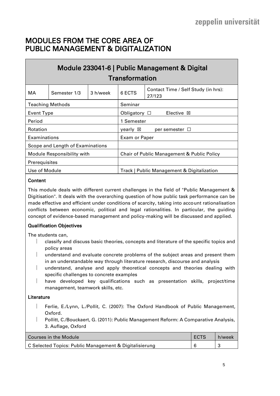# <span id="page-4-1"></span><span id="page-4-0"></span>MODULES FROM THE CORE AREA OF PUBLIC MANAGEMENT & DIGITALIZATION

# Module 233041-6 | Public Management & Digital **Transformation**

| МA                               | Semester 1/3            | 3 h/week                                        | 6 ECTS            | Contact Time / Self Study (in hrs):<br>27/123 |  |
|----------------------------------|-------------------------|-------------------------------------------------|-------------------|-----------------------------------------------|--|
|                                  | <b>Teaching Methods</b> |                                                 | Seminar           |                                               |  |
| Event Type                       |                         |                                                 | Obligatory $\Box$ | Elective $\boxtimes$                          |  |
| Period                           |                         |                                                 | 1 Semester        |                                               |  |
| Rotation                         |                         | $\vee$ early $\boxtimes$<br>per semester $\Box$ |                   |                                               |  |
| Examinations                     |                         | Exam or Paper                                   |                   |                                               |  |
| Scope and Length of Examinations |                         |                                                 |                   |                                               |  |
| Module Responsibility with       |                         | Chair of Public Management & Public Policy      |                   |                                               |  |
| Prerequisites                    |                         |                                                 |                   |                                               |  |
| Use of Module                    |                         | Track   Public Management & Digitalization      |                   |                                               |  |
|                                  |                         |                                                 |                   |                                               |  |

### **Content**

This module deals with different current challenges in the field of "Public Management & Digitisation". It deals with the overarching question of how public task performance can be made effective and efficient under conditions of scarcity, taking into account rationalisation conflicts between economic, political and legal rationalities. In particular, the guiding concept of evidence-based management and policy-making will be discussed and applied.

## Qualification Objectives

The students can,

- classify and discuss basic theories, concepts and literature of the specific topics and policy areas
- understand and evaluate concrete problems of the subject areas and present them in an understandable way through literature research, discourse and analysis
- understand, analyse and apply theoretical concepts and theories dealing with specific challenges to concrete examples
- have developed key qualifications such as presentation skills, project/time management, teamwork skills, etc.

- Ferlie, E./Lynn, L./Pollit, C. (2007): The Oxford Handbook of Public Management, Oxford.
- Pollitt, C./Bouckaert, G. (2011): Public Management Reform: A Comparative Analysis, 3. Auflage, Oxford

| Courses in the Module                                  | ECTS | h/week |
|--------------------------------------------------------|------|--------|
| C Selected Topics: Public Management & Digitalisierung |      |        |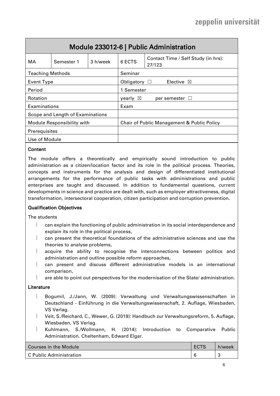<span id="page-5-0"></span>

| Module 233012-6   Public Administration |            |                                            |                      |                                               |
|-----------------------------------------|------------|--------------------------------------------|----------------------|-----------------------------------------------|
| МA                                      | Semester 1 | 3 h/week                                   | 6 ECTS               | Contact Time / Self Study (in hrs):<br>27/123 |
| <b>Teaching Methods</b>                 |            | Seminar                                    |                      |                                               |
| Event Type                              |            | Obligatory $\Box$                          | Elective $\boxtimes$ |                                               |
| Period                                  |            | 1 Semester                                 |                      |                                               |
| <b>Rotation</b>                         |            | yearly $\boxtimes$<br>per semester $\Box$  |                      |                                               |
| Examinations                            |            | Exam                                       |                      |                                               |
| Scope and Length of Examinations        |            |                                            |                      |                                               |
| Module Responsibility with              |            | Chair of Public Management & Public Policy |                      |                                               |
| Prerequisites                           |            |                                            |                      |                                               |
| Use of Module                           |            |                                            |                      |                                               |
|                                         |            |                                            |                      |                                               |

The module offers a theoretically and empirically sound introduction to public administration as a citizen/location factor and its role in the political process. Theories, concepts and instruments for the analysis and design of differentiated institutional arrangements for the performance of public tasks with administrations and public enterprises are taught and discussed. In addition to fundamental questions, current developments in science and practice are dealt with, such as employer attractiveness, digital transformation, intersectoral cooperation, citizen participation and corruption prevention.

#### Qualification Objectives

The students

- can explain the functioning of public administration in its social interdependence and explain its role in the political process,
- can present the theoretical foundations of the administrative sciences and use the theories to analyse problems,
- acquire the ability to recognise the interconnections between politics and administration and outline possible reform approaches,
- can present and discuss different administrative models in an international comparison,
- are able to point out perspectives for the modernisation of the State/ administration.

- Bogumil, J./Jann, W. (2009): Verwaltung und Verwaltungswissenschaften in Deutschland - Einführung in die Verwaltungswissenschaft, 2. Auflage, Wiesbaden, VS Verlag.
- Veit, S./Reichard, C., Wewer, G. (2019): Handbuch zur Verwaltungsreform, 5. Auflage, Wiesbaden, VS Verlag.
- Kuhlmann, S./Wollmann, H. (2014): Introduction to Comparative Public Administration. Cheltenham, Edward Elgar.

| Courses in the Module   | ECTS | h/week |
|-------------------------|------|--------|
| C Public Administration |      |        |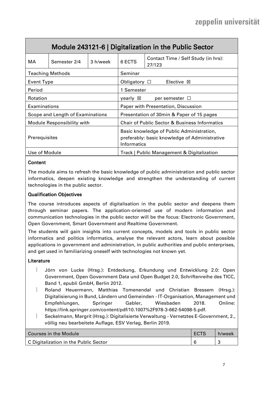<span id="page-6-0"></span>

| Module 243121-6   Digitalization in the Public Sector |                            |                                                                                                           |                                               |                                               |  |
|-------------------------------------------------------|----------------------------|-----------------------------------------------------------------------------------------------------------|-----------------------------------------------|-----------------------------------------------|--|
| МA                                                    | Semester 2/4               | 3 h/week                                                                                                  | 6 ECTS                                        | Contact Time / Self Study (in hrs):<br>27/123 |  |
|                                                       | <b>Teaching Methods</b>    |                                                                                                           | Seminar                                       |                                               |  |
| Event Type                                            |                            |                                                                                                           | Obligatory $\Box$                             | Elective $\boxtimes$                          |  |
| Period                                                |                            |                                                                                                           | 1 Semester                                    |                                               |  |
| <b>Rotation</b>                                       |                            | yearly ⊠<br>per semester $\Box$                                                                           |                                               |                                               |  |
| Examinations                                          |                            | Paper with Presentation, Discussion                                                                       |                                               |                                               |  |
| Scope and Length of Examinations                      |                            | Presentation of 30min & Paper of 15 pages                                                                 |                                               |                                               |  |
|                                                       | Module Responsibility with |                                                                                                           | Chair of Public Sector & Business Informatics |                                               |  |
| Prerequisites                                         |                            | Basic knowledge of Public Administration,<br>preferably: basic knowledge of Administrative<br>Informatics |                                               |                                               |  |
| Use of Module                                         |                            |                                                                                                           | Track   Public Management & Digitalization    |                                               |  |

The module aims to refresh the basic knowledge of public administration and public sector informatics, deepen existing knowledge and strengthen the understanding of current technologies in the public sector.

#### Qualification Objectives

The course introduces aspects of digitalisation in the public sector and deepens them through seminar papers. The application-oriented use of modern information and communication technologies in the public sector will be the focus: Electronic Government, Open Government, Smart Government and Realtime Government.

The students will gain insights into current concepts, models and tools in public sector informatics and politics informatics, analyse the relevant actors, learn about possible applications in government and administration, in public authorities and public enterprises, and get used in familiarizing oneself with technologies not known yet.

- Jörn von Lucke (Hrsg.): Entdeckung, Erkundung und Entwicklung 2.0: Open Government, Open Government Data und Open Budget 2.0, Schriftenreihe des TICC, Band 1, epubli GmbH, Berlin 2012.
- Roland Heuermann, Matthias Tomenendal und Christian Bressem (Hrsg.): Digitalisierung in Bund, Ländern und Gemeinden - IT-Organisation, Management und Empfehlungen, Springer Gabler, Wiesbaden 2018. Online: [https://link.springer.com/content/pdf/10.1007%2F978-3-662-54098-5.pdf.](https://link.springer.com/content/pdf/10.1007%2F978-3-662-54098-5.pdf)
- Seckelmann, Margrit (Hrsg.): Digitalisierte Verwaltung Vernetztes E-Government, 2., völlig neu bearbeitete Auflage, ESV Verlag, Berlin 2019.

| <b>Courses in the Module</b>          | ECTS | h/week |
|---------------------------------------|------|--------|
| C Digitalization in the Public Sector |      |        |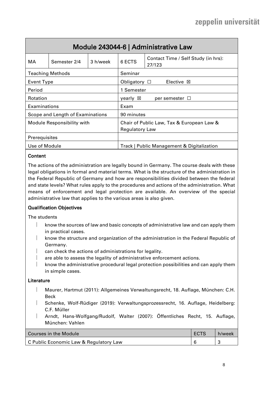<span id="page-7-0"></span>

| Module 243044-6   Administrative Law |                         |                                                                    |                                            |                                               |
|--------------------------------------|-------------------------|--------------------------------------------------------------------|--------------------------------------------|-----------------------------------------------|
| МA                                   | Semester 2/4            | 3 h/week                                                           | 6 ECTS                                     | Contact Time / Self Study (in hrs):<br>27/123 |
|                                      | <b>Teaching Methods</b> |                                                                    | Seminar                                    |                                               |
| Event Type                           |                         | Obligatory $\square$                                               | Elective $\boxtimes$                       |                                               |
| Period                               |                         | 1 Semester                                                         |                                            |                                               |
| <b>Rotation</b>                      |                         | $\vee$ vearly $\boxtimes$<br>per semester $\Box$                   |                                            |                                               |
| Examinations                         |                         | Exam                                                               |                                            |                                               |
| Scope and Length of Examinations     |                         | 90 minutes                                                         |                                            |                                               |
| Module Responsibility with           |                         | Chair of Public Law, Tax & European Law &<br><b>Regulatory Law</b> |                                            |                                               |
| Prerequisites                        |                         |                                                                    |                                            |                                               |
| Use of Module                        |                         |                                                                    | Track   Public Management & Digitalization |                                               |

The actions of the administration are legally bound in Germany. The course deals with these legal obligations in formal and material terms. What is the structure of the administration in the Federal Republic of Germany and how are responsibilities divided between the federal and state levels? What rules apply to the procedures and actions of the administration. What means of enforcement and legal protection are available. An overview of the special administrative law that applies to the various areas is also given.

#### Qualification Objectives

The students

- know the sources of law and basic concepts of administrative law and can apply them in practical cases.
- know the structure and organization of the administration in the Federal Republic of Germany.
- can check the actions of administrations for legality.
- are able to assess the legality of administrative enforcement actions.
- know the administrative procedural legal protection possibilities and can apply them in simple cases.

- Maurer, Hartmut (2011): Allgemeines Verwaltungsrecht, 18. Auflage, München: C.H. Beck
- Schenke, Wolf-Rüdiger (2019): Verwaltungsprozessrecht, 16. Auflage, Heidelberg: C.F. Müller
- Arndt, Hans-Wolfgang/Rudolf, Walter (2007): Öffentliches Recht, 15. Auflage, München: Vahlen

| Courses in the Module                  | ECTS | h/week |
|----------------------------------------|------|--------|
| C Public Economic Law & Regulatory Law |      |        |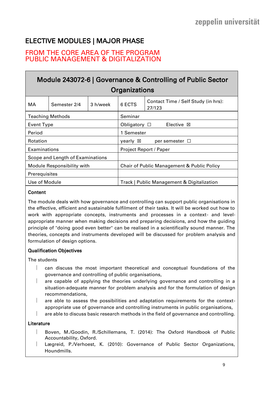# <span id="page-8-0"></span>ELECTIVE MODULES | MAJOR PHASE

# <span id="page-8-1"></span>FROM THE CORE AREA OF THE PROGRAM PUBLIC MANAGEMENT & DIGITALIZATION

<span id="page-8-2"></span>

|                            | Module 243072-6   Governance & Controlling of Public Sector |                                              |                                            |                                               |  |
|----------------------------|-------------------------------------------------------------|----------------------------------------------|--------------------------------------------|-----------------------------------------------|--|
|                            |                                                             |                                              | <b>Organizations</b>                       |                                               |  |
| МA                         | Semester 2/4                                                | 3 h/week                                     | 6 ECTS                                     | Contact Time / Self Study (in hrs):<br>27/123 |  |
| <b>Teaching Methods</b>    |                                                             | Seminar                                      |                                            |                                               |  |
| Event Type                 |                                                             | Obligatory $\square$<br>Elective $\boxtimes$ |                                            |                                               |  |
| Period                     |                                                             | 1 Semester                                   |                                            |                                               |  |
| Rotation                   |                                                             | yearly $\boxtimes$<br>per semester $\Box$    |                                            |                                               |  |
| Examinations               |                                                             | Project Report / Paper                       |                                            |                                               |  |
|                            | Scope and Length of Examinations                            |                                              |                                            |                                               |  |
| Module Responsibility with |                                                             | Chair of Public Management & Public Policy   |                                            |                                               |  |
| <b>Prerequisites</b>       |                                                             |                                              |                                            |                                               |  |
| Use of Module              |                                                             |                                              | Track   Public Management & Digitalization |                                               |  |

### Content

The module deals with how governance and controlling can support public organisations in the effective, efficient and sustainable fulfilment of their tasks. It will be worked out how to work with appropriate concepts, instruments and processes in a context- and levelappropriate manner when making decisions and preparing decisions, and how the guiding principle of "doing good even better" can be realised in a scientifically sound manner. The theories, concepts and instruments developed will be discussed for problem analysis and formulation of design options.

## Qualification Objectives

The students

- can discuss the most important theoretical and conceptual foundations of the governance and controlling of public organisations,
- are capable of applying the theories underlying governance and controlling in a situation-adequate manner for problem analysis and for the formulation of design recommendations,
- are able to assess the possibilities and adaptation requirements for the contextappropriate use of governance and controlling instruments in public organisations,
- are able to discuss basic research methods in the field of governance and controlling.

- Boven, M./Goodin, R./Schillemans, T. (2014): The Oxford Handbook of Public Accountability, Oxford.
- Lægreid, P./Verhoest, K. (2010): Governance of Public Sector Organizations, Houndmills.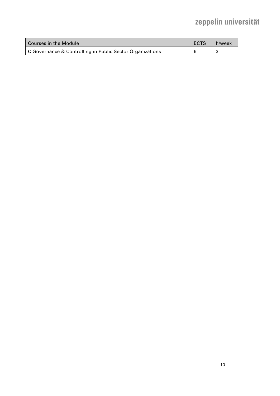# zeppelin universität

| Courses in the Module                                     | <b>ECTS</b> | h/week |
|-----------------------------------------------------------|-------------|--------|
| C Governance & Controlling in Public Sector Organizations |             |        |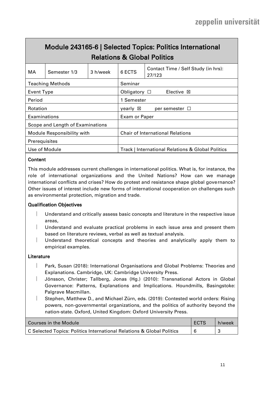# <span id="page-10-0"></span>Module 243165-6 | Selected Topics: Politics International Relations & Global Politics

| МA                                                                 | Semester 1/3            | 3 h/week                                | 6 ECTS            | Contact Time / Self Study (in hrs):<br>27/123 |  |
|--------------------------------------------------------------------|-------------------------|-----------------------------------------|-------------------|-----------------------------------------------|--|
|                                                                    | <b>Teaching Methods</b> |                                         | Seminar           |                                               |  |
| Event Type                                                         |                         |                                         | Obligatory $\Box$ | Elective $\boxtimes$                          |  |
| Period                                                             |                         |                                         | 1 Semester        |                                               |  |
| Rotation                                                           |                         | vearly ⊠<br>per semester $\Box$         |                   |                                               |  |
| Examinations                                                       |                         | Exam or Paper                           |                   |                                               |  |
| Scope and Length of Examinations                                   |                         |                                         |                   |                                               |  |
| Module Responsibility with                                         |                         | <b>Chair of International Relations</b> |                   |                                               |  |
| <b>Prerequisites</b>                                               |                         |                                         |                   |                                               |  |
| Use of Module<br>Track   International Relations & Global Politics |                         |                                         |                   |                                               |  |

### Content

This module addresses current challenges in international politics. What is, for instance, the role of international organizations and the United Nations? How can we manage international conflicts and crises? How do protest and resistance shape global governance? Other issues of interest include new forms of international cooperation on challenges such as environmental protection, migration and trade.

#### Qualification Objectives

- Understand and critically assess basic concepts and literature in the respective issue areas,
- Understand and evaluate practical problems in each issue area and present them based on literature reviews, verbal as well as textual analysis.
- Understand theoretical concepts and theories and analytically apply them to empirical examples.

- Park, Susan (2018): International Organisations and Global Problems: Theories and Explanations. Cambridge, UK: Cambridge University Press.
- Jönsson, Christer; Tallberg, Jonas (Hg.) (2010): Transnational Actors in Global Governance: Patterns, Explanations and Implications. Houndmills, Basingstoke: Palgrave Macmillan.
- Stephen, Matthew D., and Michael Zürn, eds. (2019): Contested world orders: Rising powers, non-governmental organizations, and the politics of authority beyond the nation-state. Oxford, United Kingdom: Oxford University Press.

| Courses in the Module                                                 | ECTS | h/week |
|-----------------------------------------------------------------------|------|--------|
| C Selected Topics: Politics International Relations & Global Politics |      |        |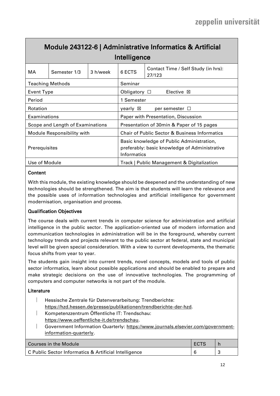<span id="page-11-0"></span>

|                                  | Module 243122-6   Administrative Informatics & Artificial |                                                                                                           |                                                          |                                               |  |  |
|----------------------------------|-----------------------------------------------------------|-----------------------------------------------------------------------------------------------------------|----------------------------------------------------------|-----------------------------------------------|--|--|
| Intelligence                     |                                                           |                                                                                                           |                                                          |                                               |  |  |
| МA                               | Semester 1/3                                              | 3 h/week                                                                                                  | 6 ECTS                                                   | Contact Time / Self Study (in hrs):<br>27/123 |  |  |
|                                  | <b>Teaching Methods</b>                                   |                                                                                                           | Seminar                                                  |                                               |  |  |
| Event Type                       |                                                           |                                                                                                           | Obligatory $\square$                                     | Elective $\boxtimes$                          |  |  |
| Period                           |                                                           | 1 Semester                                                                                                |                                                          |                                               |  |  |
| Rotation                         |                                                           | yearly ⊠<br>per semester $\Box$                                                                           |                                                          |                                               |  |  |
| Examinations                     |                                                           |                                                                                                           | Paper with Presentation, Discussion                      |                                               |  |  |
| Scope and Length of Examinations |                                                           |                                                                                                           | Presentation of 30min & Paper of 15 pages                |                                               |  |  |
|                                  | Module Responsibility with                                |                                                                                                           | <b>Chair of Public Sector &amp; Business Informatics</b> |                                               |  |  |
| Prerequisites                    |                                                           | Basic knowledge of Public Administration,<br>preferably: basic knowledge of Administrative<br>Informatics |                                                          |                                               |  |  |
| Use of Module                    |                                                           | Track   Public Management & Digitalization                                                                |                                                          |                                               |  |  |

With this module, the existing knowledge should be deepened and the understanding of new technologies should be strengthened. The aim is that students will learn the relevance and the possible uses of information technologies and artificial intelligence for government modernisation, organisation and process.

## Qualification Objectives

The course deals with current trends in computer science for administration and artificial intelligence in the public sector. The application-oriented use of modern information and communication technologies in administration will be in the foreground, whereby current technology trends and projects relevant to the public sector at federal, state and municipal level will be given special consideration. With a view to current developments, the thematic focus shifts from year to year.

The students gain insight into current trends, novel concepts, models and tools of public sector informatics, learn about possible applications and should be enabled to prepare and make strategic decisions on the use of innovative technologies. The programming of computers and computer networks is not part of the module.

- Hessische Zentrale für Datenverarbeitung: Trendberichte: [https://hzd.hessen.de/presse/publikationen/trendberichte-der-hzd.](https://hzd.hessen.de/presse/publikationen/trendberichte-der-hzd)
- Kompetenzzentrum Öffentliche IT: Trendschau: [https://www.oeffentliche-it.de/trendschau.](https://www.oeffentliche-it.de/trendschau)
- Government Information Quarterly: [https://www.journals.elsevier.com/government](https://www.journals.elsevier.com/government-information-quarterly)[information-quarterly.](https://www.journals.elsevier.com/government-information-quarterly)

| <b>Courses in the Module</b>                          | ECTS |            |
|-------------------------------------------------------|------|------------|
| C Public Sector Informatics & Artificial Intelligence |      | $\sqrt{2}$ |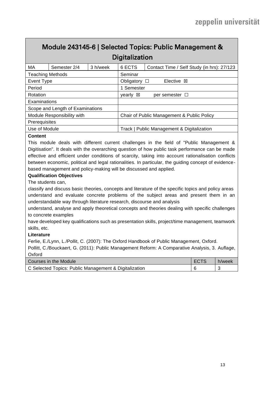# <span id="page-12-0"></span>Module 243145-6 | Selected Topics: Public Management & **Digitalization**

| МA                               | Semester 2/4 | 3 h/week                                   | 6 ECTS                                     | Contact Time / Self Study (in hrs): 27/123 |  |
|----------------------------------|--------------|--------------------------------------------|--------------------------------------------|--------------------------------------------|--|
| <b>Teaching Methods</b>          |              | Seminar                                    |                                            |                                            |  |
| Event Type                       |              |                                            | Obligatory $\square$                       | $E$ lective $\boxtimes$                    |  |
| Period                           |              |                                            | 1 Semester                                 |                                            |  |
| Rotation                         |              | ⊠<br>yearly<br>per semester $\Box$         |                                            |                                            |  |
| Examinations                     |              |                                            |                                            |                                            |  |
| Scope and Length of Examinations |              |                                            |                                            |                                            |  |
| Module Responsibility with       |              | Chair of Public Management & Public Policy |                                            |                                            |  |
| Prerequisites                    |              |                                            |                                            |                                            |  |
| Use of Module                    |              |                                            | Track   Public Management & Digitalization |                                            |  |
|                                  |              |                                            |                                            |                                            |  |

#### **Content**

This module deals with different current challenges in the field of "Public Management & Digitisation". It deals with the overarching question of how public task performance can be made effective and efficient under conditions of scarcity, taking into account rationalisation conflicts between economic, political and legal rationalities. In particular, the guiding concept of evidencebased management and policy-making will be discussed and applied.

#### **Qualification Objectives**

The students can,

classify and discuss basic theories, concepts and literature of the specific topics and policy areas understand and evaluate concrete problems of the subject areas and present them in an understandable way through literature research, discourse and analysis

understand, analyse and apply theoretical concepts and theories dealing with specific challenges to concrete examples

have developed key qualifications such as presentation skills, project/time management, teamwork skills, etc.

#### **Literature**

Ferlie, E./Lynn, L./Pollit, C. (2007): The Oxford Handbook of Public Management, Oxford.

Pollitt, C./Bouckaert, G. (2011): Public Management Reform: A Comparative Analysis, 3. Auflage, Oxford

| Courses in the Module                                 | ECTS | h/week |
|-------------------------------------------------------|------|--------|
| C Selected Topics: Public Management & Digitalization |      |        |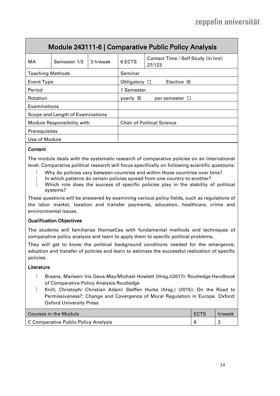<span id="page-13-0"></span>

|                                  | Module 243111-6   Comparative Public Policy Analysis |                                   |                                           |                                               |  |
|----------------------------------|------------------------------------------------------|-----------------------------------|-------------------------------------------|-----------------------------------------------|--|
| МA                               | Semester 1/3                                         | 3 h/week                          | 6 ECTS                                    | Contact Time / Self Study (in hrs):<br>27/123 |  |
| <b>Teaching Methods</b>          |                                                      |                                   | Seminar                                   |                                               |  |
| Event Type                       |                                                      |                                   | Elective $\boxtimes$<br>Obligatory $\Box$ |                                               |  |
| Period                           |                                                      | 1 Semester                        |                                           |                                               |  |
| Rotation                         |                                                      | vearly ⊠<br>per semester $\Box$   |                                           |                                               |  |
| Examinations                     |                                                      |                                   |                                           |                                               |  |
| Scope and Length of Examinations |                                                      |                                   |                                           |                                               |  |
| Module Responsibility with       |                                                      | <b>Chair of Political Science</b> |                                           |                                               |  |
| Prerequisites                    |                                                      |                                   |                                           |                                               |  |
| Use of Module                    |                                                      |                                   |                                           |                                               |  |

The module deals with the systematic research of comparative policies on an international level. Comparative political research will focus specifically on following scientific questions:

- Why do policies vary between countries and within those countries over time?
- In which patterns do certain policies spread from one country to another?
- Which role does the success of specific policies play in the stability of political systems?

These questions will be answered by examining various policy fields, such as regulations of the labor market, taxation and transfer payments, education, healthcare, crime and environmental issues.

#### Qualification Objectives

The students will familiarize themseCes with fundamental methods and techniques of comparative policy analysis and learn to apply them to specific political problems.

They will get to know the political background conditions needed for the emergence, adoption and transfer of policies and learn to estimate the successful realization of specific policies.

- Braans, Marleen/ Iris Geva-May/Michael Howlett (Hrsg.)(2017): Routledge Handbook of Comparative Policy Analysis.Routledge
- Knill, Christoph/ Christian Adam/ Steffen Hurka (hrsg.) (2015): On the Road to Permissiveness?: Change and Covergence of Moral Regulation in Europe. Oxford: Oxford University Press

| <b>Courses in the Module</b>         | ECTS | h/week |
|--------------------------------------|------|--------|
| C Comparative Public Policy Analysis |      |        |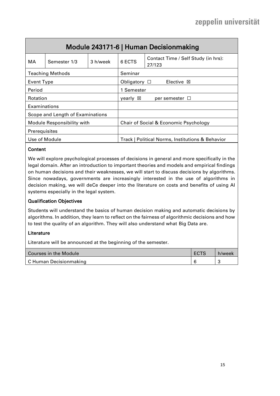<span id="page-14-0"></span>

|                                  | Module 243171-6   Human Decisionmaking |                                       |                                                  |                                               |  |
|----------------------------------|----------------------------------------|---------------------------------------|--------------------------------------------------|-----------------------------------------------|--|
| МA                               | Semester 1/3                           | 3 h/week                              | 6 ECTS                                           | Contact Time / Self Study (in hrs):<br>27/123 |  |
| <b>Teaching Methods</b>          |                                        | Seminar                               |                                                  |                                               |  |
| <b>Event Type</b>                |                                        |                                       | Obligatory $\square$<br>Elective $\boxtimes$     |                                               |  |
| Period                           |                                        | 1 Semester                            |                                                  |                                               |  |
| Rotation                         |                                        | vearly ⊠<br>per semester $\Box$       |                                                  |                                               |  |
| Examinations                     |                                        |                                       |                                                  |                                               |  |
| Scope and Length of Examinations |                                        |                                       |                                                  |                                               |  |
| Module Responsibility with       |                                        | Chair of Social & Economic Psychology |                                                  |                                               |  |
| Prerequisites                    |                                        |                                       |                                                  |                                               |  |
| Use of Module                    |                                        |                                       | Track   Political Norms, Institutions & Behavior |                                               |  |

We will explore psychological processes of decisions in general and more specifically in the legal domain. After an introduction to important theories and models and empirical findings on human decisions and their weaknesses, we will start to discuss decisions by algorithms. Since nowadays, governments are increasingly interested in the use of algorithms in decision making, we will deCe deeper into the literature on costs and benefits of using AI systems especially in the legal system.

#### Qualification Objectives

Students will understand the basics of human decision making and automatic decisions by algorithms. In addition, they learn to reflect on the fairness of algorithmic decisions and how to test the quality of an algorithm. They will also understand what Big Data are.

#### **Literature**

Literature will be announced at the beginning of the semester.

| Courses in the Module  | ECTS | h/week |
|------------------------|------|--------|
| C Human Decisionmaking |      | ∽      |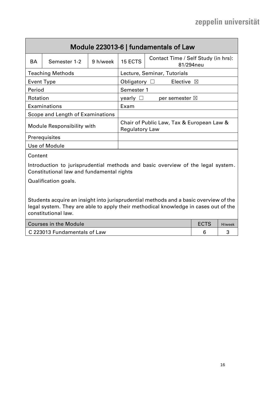<span id="page-15-0"></span>

|                                                                                                                              | Module 223013-6   fundamentals of Law |                                                                    |                   |                                                  |  |
|------------------------------------------------------------------------------------------------------------------------------|---------------------------------------|--------------------------------------------------------------------|-------------------|--------------------------------------------------|--|
| <b>BA</b>                                                                                                                    | Semester 1-2                          | 9 h/week                                                           | 15 ECTS           | Contact Time / Self Study (in hrs):<br>81/294neu |  |
|                                                                                                                              | <b>Teaching Methods</b>               |                                                                    |                   | Lecture, Seminar, Tutorials                      |  |
| Event Type                                                                                                                   |                                       |                                                                    | Obligatory $\Box$ | Elective $\boxtimes$                             |  |
| Period                                                                                                                       |                                       |                                                                    | Semester 1        |                                                  |  |
| Rotation                                                                                                                     |                                       |                                                                    | yearly $\square$  | per semester $\boxtimes$                         |  |
|                                                                                                                              | Examinations                          |                                                                    | Exam              |                                                  |  |
|                                                                                                                              | Scope and Length of Examinations      |                                                                    |                   |                                                  |  |
| Module Responsibility with                                                                                                   |                                       | Chair of Public Law, Tax & European Law &<br><b>Regulatory Law</b> |                   |                                                  |  |
| Prerequisites                                                                                                                |                                       |                                                                    |                   |                                                  |  |
| Use of Module                                                                                                                |                                       |                                                                    |                   |                                                  |  |
| Content                                                                                                                      |                                       |                                                                    |                   |                                                  |  |
| Introduction to jurisprudential methods and basic overview of the legal system.<br>Constitutional law and fundamental rights |                                       |                                                                    |                   |                                                  |  |
|                                                                                                                              | Qualification goals.                  |                                                                    |                   |                                                  |  |
|                                                                                                                              |                                       |                                                                    |                   |                                                  |  |

Students acquire an insight into jurisprudential methods and a basic overview of the legal system. They are able to apply their methodical knowledge in cases out of the constitutional law.

| <b>Courses in the Module</b> | H/week |
|------------------------------|--------|
| C 223013 Fundamentals of Law |        |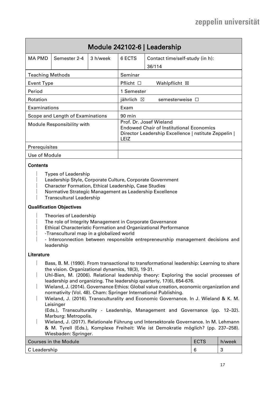<span id="page-16-0"></span>

| Module 242102-6   Leadership     |              |                                                                                                       |                |                                 |  |
|----------------------------------|--------------|-------------------------------------------------------------------------------------------------------|----------------|---------------------------------|--|
| <b>MA PMD</b>                    | Semester 2-4 | 3 h/week                                                                                              | 6 ECTS         | Contact time/self-study (in h): |  |
|                                  |              |                                                                                                       |                | 36/114                          |  |
| <b>Teaching Methods</b>          |              |                                                                                                       | Seminar        |                                 |  |
| Event Type                       |              |                                                                                                       | Pflicht $\Box$ | Wahlpflicht ⊠                   |  |
| Period                           |              |                                                                                                       | 1 Semester     |                                 |  |
| Rotation                         |              | jährlich $\boxtimes$<br>semesterweise □                                                               |                |                                 |  |
| Examinations                     |              | Exam                                                                                                  |                |                                 |  |
| Scope and Length of Examinations |              | 90 min                                                                                                |                |                                 |  |
| Module Responsibility with       |              | Prof. Dr. Josef Wieland                                                                               |                |                                 |  |
|                                  |              | <b>Endowed Chair of Institutional Economics</b><br>Director Leadership Excellence   nstitute Zeppelin |                |                                 |  |
|                                  |              | LEIZ                                                                                                  |                |                                 |  |
| Prerequisites                    |              |                                                                                                       |                |                                 |  |
| Use of Module                    |              |                                                                                                       |                |                                 |  |

- Types of Leadership
- Leadership Style, Corporate Culture, Corporate Government
- Character Formation, Ethical Leadership, Case Studies
- Normative Strategic Management as Leadership Excellence
- Transcultural Leadership

#### **Qualification Objectives**

- Theories of Leadership
- The role of Integrity Management in Corporate Governance
- Ethical Characteristic Formation and Organizational Performance
- -Transcultural map in a globalized world
- Interconnection between responsible entrepreneurship management decisions and leadership

- Bass, B. M. (1990). From transactional to transformational leadership: Learning to share the vision. Organizational dynamics, 18(3), 19-31.
- Uhl-Bien, M. (2006). Relational leadership theory: Exploring the social processes of leadership and organizing. The leadership quarterly, 17(6), 654-676.
- Wieland, J. (2014). Governance Ethics: Global value creation, economic organization and normativity (Vol. 48). Cham: Springer International Publishing.
- Wieland, J. (2016). Transculturality and Economic Governance. In J. Wieland & K. M. Leisinger
	- (Eds.), Transculturality Leadership, Management and Governance (pp. 12–32). Marburg: Metropolis.
- Wieland, J. (2017). Relationale Führung und Intersektorale Governance. In M. Lehmann & M. Tyrell (Eds.), Komplexe Freiheit: Wie ist Demokratie möglich? (pp. 237–258). Wiesbaden: Springer.

| <b>Courses in the Module</b> | <b>ECTS</b> | h/week |
|------------------------------|-------------|--------|
| C Leadership                 |             | ∽<br>ີ |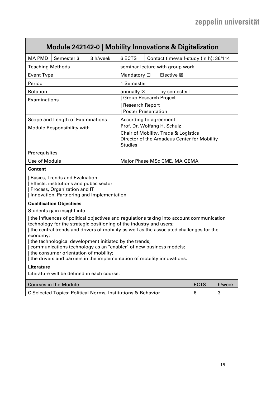<span id="page-17-0"></span>

|                                                                                            |                                      |                                             |                                      | Module 242142-0   Mobility Innovations & Digitalization |  |
|--------------------------------------------------------------------------------------------|--------------------------------------|---------------------------------------------|--------------------------------------|---------------------------------------------------------|--|
| <b>MA PMD</b>                                                                              | Semester 3                           | 3 h/week                                    | 6 ECTS                               | Contact time/self-study (in h): 36/114                  |  |
| <b>Teaching Methods</b>                                                                    |                                      |                                             |                                      | seminar lecture with group work                         |  |
| <b>Event Type</b>                                                                          |                                      |                                             | Mandatory $\Box$                     | Elective ⊠                                              |  |
| Period                                                                                     |                                      |                                             | 1 Semester                           |                                                         |  |
| Rotation                                                                                   |                                      |                                             | annually ⊠                           | by semester $\Box$                                      |  |
| Examinations                                                                               |                                      |                                             |                                      | Group Research Project                                  |  |
|                                                                                            |                                      |                                             | <b>Research Report</b>               |                                                         |  |
|                                                                                            |                                      |                                             |                                      | <b>Poster Presentation</b>                              |  |
|                                                                                            | Scope and Length of Examinations     |                                             | According to agreement               |                                                         |  |
|                                                                                            | Module Responsibility with           |                                             |                                      | Prof. Dr. Wolfang H. Schulz                             |  |
|                                                                                            |                                      |                                             | Chair of Mobility, Trade & Logistics |                                                         |  |
|                                                                                            |                                      | Director of the Amadeus Center for Mobility |                                      |                                                         |  |
|                                                                                            |                                      |                                             | <b>Studies</b>                       |                                                         |  |
| Prerequisites                                                                              |                                      |                                             |                                      |                                                         |  |
| Use of Module                                                                              |                                      |                                             |                                      | Major Phase MSc CME, MA GEMA                            |  |
| Content                                                                                    |                                      |                                             |                                      |                                                         |  |
|                                                                                            | <b>Basics, Trends and Evaluation</b> |                                             |                                      |                                                         |  |
| Effects, institutions and public sector<br>Process, Organization and IT                    |                                      |                                             |                                      |                                                         |  |
| Innovation, Partnering and Implementation                                                  |                                      |                                             |                                      |                                                         |  |
|                                                                                            | <b>Qualification Objectives</b>      |                                             |                                      |                                                         |  |
|                                                                                            | Students gain insight into           |                                             |                                      |                                                         |  |
| I the influences of political objectives and requistions taking into account communication |                                      |                                             |                                      |                                                         |  |

| the influences of political objectives and regulations taking into account communication technology for the strategic positioning of the industry and users;

| the central trends and drivers of mobility as well as the associated challenges for the economy;

| the technological development initiated by the trends;

| communications technology as an "enabler" of new business models;

| the consumer orientation of mobility;

| the drivers and barriers in the implementation of mobility innovations.

#### **Literature**

Literature will be defined in each course.

| <b>Courses in the Module</b>                                | ECTS | h/week |
|-------------------------------------------------------------|------|--------|
| C Selected Topics: Political Norms, Institutions & Behavior |      |        |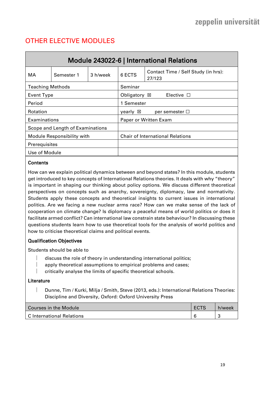# <span id="page-18-0"></span>OTHER ELECTIVE MODULES

<span id="page-18-1"></span>

| Module 243022-6   International Relations |            |                                                 |                       |                                               |  |
|-------------------------------------------|------------|-------------------------------------------------|-----------------------|-----------------------------------------------|--|
| MA                                        | Semester 1 | 3 h/week                                        | 6 ECTS                | Contact Time / Self Study (in hrs):<br>27/123 |  |
| <b>Teaching Methods</b>                   |            |                                                 | Seminar               |                                               |  |
| Event Type                                |            |                                                 |                       | Elective $\Box$<br>Obligatory ⊠               |  |
| Period                                    |            | 1 Semester                                      |                       |                                               |  |
| Rotation                                  |            | $\vee$ early $\boxtimes$<br>per semester $\Box$ |                       |                                               |  |
| Examinations                              |            |                                                 | Paper or Written Exam |                                               |  |
| Scope and Length of Examinations          |            |                                                 |                       |                                               |  |
| Module Responsibility with                |            | <b>Chair of International Relations</b>         |                       |                                               |  |
| Prerequisites                             |            |                                                 |                       |                                               |  |
| Use of Module                             |            |                                                 |                       |                                               |  |

## **Contents**

How can we explain political dynamics between and beyond states? In this module, students get introduced to key concepts of International Relations theories. It deals with why "theory" is important in shaping our thinking about policy options. We discuss different theoretical perspectives on concepts such as anarchy, sovereignty, diplomacy, law and normativity. Students apply these concepts and theoretical insights to current issues in international politics. Are we facing a new nuclear arms race? How can we make sense of the lack of cooperation on climate change? Is diplomacy a peaceful means of world politics or does it facilitate armed conflict? Can international law constrain state behaviour? In discussing these questions students learn how to use theoretical tools for the analysis of world politics and how to criticise theoretical claims and political events.

## Qualification Objectives

Students should be able to

- discuss the role of theory in understanding international politics;
- apply theoretical assumptions to empirical problems and cases;
- critically analyse the limits of specific theoretical schools.

#### Literature

 Dunne, Tim / Kurki, Milja / Smith, Steve (2013, eds.): International Relations Theories: Discipline and Diversity, Oxford: Oxford University Press

| Courses in the Module     | <b>ECTS</b> | h/week |
|---------------------------|-------------|--------|
| C International Relations |             |        |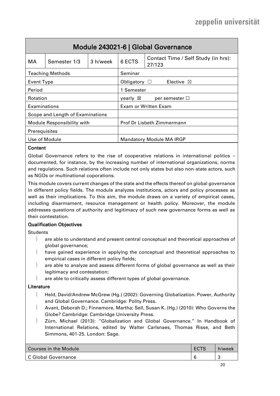<span id="page-19-0"></span>

| Module 243021-6   Global Governance |                         |                                 |                                 |                                               |  |
|-------------------------------------|-------------------------|---------------------------------|---------------------------------|-----------------------------------------------|--|
| MA                                  | Semester 1/3            | 3 h/week                        | 6 ECTS                          | Contact Time / Self Study (in hrs):<br>27/123 |  |
|                                     | <b>Teaching Methods</b> |                                 | Seminar                         |                                               |  |
| <b>Event Type</b>                   |                         |                                 |                                 | Elective $\boxtimes$<br>Obligatory $\Box$     |  |
| Period                              |                         | 1 Semester                      |                                 |                                               |  |
| Rotation                            |                         | yearly ⊠<br>per semester $\Box$ |                                 |                                               |  |
| Examinations                        |                         |                                 | Exam or Written Exam            |                                               |  |
| Scope and Length of Examinations    |                         |                                 |                                 |                                               |  |
| Module Responsibility with          |                         | Prof Dr Lisbeth Zimmermann      |                                 |                                               |  |
| Prerequisites                       |                         |                                 |                                 |                                               |  |
| Use of Module                       |                         |                                 | <b>Mandatory Module MA IRGP</b> |                                               |  |

Global Governance refers to the rise of cooperative relations in international politics – documented, for instance, by the increasing number of international organizations, norms and regulations. Such relations often include not only states but also non-state actors, such as NGOs or multinational coporations.

This module covers current changes of the state and the effects thereof on global governance in different policy fields. The module analyzes institutions, actors and policy processes as well as their implications. To this aim, the module draws on a variety of empirical cases, including disarmament, resource management or health policy. Moreover, the module addresses questions of authority and legitimacy of such new governance forms as well as their contestation.

#### Qualification Objectives

**Students** 

- are able to understand and present central conceptual and theoretical approaches of global governance;
- have gained experience in applying the conceptual and theoretical approaches to empirical cases in different policy fields;
- $\parallel$  are able to analyze and assess different forms of global governance as well as their legitimacy and contestation;
- are able to critically assess different types of global governance.

- Held, David/Andrew McGrew (Hg.) (2002): Governing Globalization. Power, Authority and Global Governance. Cambridge: Polity Press.
- Avant, Deborah D.; Finnemore, Martha; Sell, Susan K. (Hg.) (2010): Who Governs the Globe? Cambridge: Cambridge University Press.
- Zürn, Michael (2013): "Globalization and Global Governance." In Handbook of International Relations, edited by Walter Carlsnaes, Thomas Risse, and Beth Simmons, 401-25. London: Sage.

| ECTS<br><b>Courses in the Module</b> | h/week |
|--------------------------------------|--------|
| C Global Governance                  |        |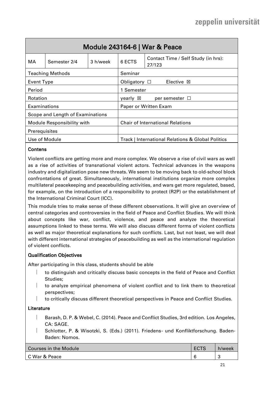<span id="page-20-0"></span>

| <b>Module 243164-6   War &amp; Peace</b> |                         |                                           |                                                   |                                               |  |
|------------------------------------------|-------------------------|-------------------------------------------|---------------------------------------------------|-----------------------------------------------|--|
| МA                                       | Semester 2/4            | 3 h/week                                  | 6 ECTS                                            | Contact Time / Self Study (in hrs):<br>27/123 |  |
|                                          | <b>Teaching Methods</b> |                                           | Seminar                                           |                                               |  |
| <b>Event Type</b>                        |                         |                                           |                                                   | Obligatory $\square$<br>Elective $\boxtimes$  |  |
| Period                                   |                         | 1 Semester                                |                                                   |                                               |  |
| Rotation                                 |                         | yearly $\boxtimes$<br>per semester $\Box$ |                                                   |                                               |  |
| Examinations                             |                         | Paper or Written Exam                     |                                                   |                                               |  |
| Scope and Length of Examinations         |                         |                                           |                                                   |                                               |  |
| Module Responsibility with               |                         | <b>Chair of International Relations</b>   |                                                   |                                               |  |
| Prerequisites                            |                         |                                           |                                                   |                                               |  |
| Use of Module                            |                         |                                           | Track   International Relations & Global Politics |                                               |  |

#### **Contens**

Violent conflicts are getting more and more complex. We observe a rise of civil wars as well as a rise of activities of transnational violent actors. Technical advances in the weapons industry and digitalization pose new threats. We seem to be moving back to old-school block confrontations of great. Simultaneously, international institutions organize more complex multilateral peacekeeping and peacebuilding activities, and wars get more regulated, based, for example, on the introduction of a responsibility to protect (R2P) or the establishment of the International Criminal Court (ICC).

This module tries to make sense of these different observations. It will give an overview of central categories and controversies in the field of Peace and Conflict Studies. We will think about concepts like war, conflict, violence, and peace and analyze the theoretical assumptions linked to these terms. We will also discuss different forms of violent conflicts as well as major theoretical explanations for such conflicts. Last, but not least, we will deal with different international strategies of peacebuilding as well as the international regulation of violent conflicts.

#### Qualification Objectives

After participating in this class, students should be able

- $\vert$  to distinguish and critically discuss basic concepts in the field of Peace and Conflict Studies;
- to analyze empirical phenomena of violent conflict and to link them to theoretical perspectives;
- to critically discuss different theoretical perspectives in Peace and Conflict Studies.

- Barash, D. P. & Webel, C. (2014). Peace and Conflict Studies, 3rd edition. Los Angeles, CA: SAGE.
- Schlotter, P. & Wisotzki, S. (Eds.) (2011). Friedens- und Konfliktforschung. Baden-Baden: Nomos.

| <b>Courses in the Module</b> | ECTS            | h/week  |
|------------------------------|-----------------|---------|
| C War & Peace                | $\sqrt{2}$<br>b | ∽<br>×. |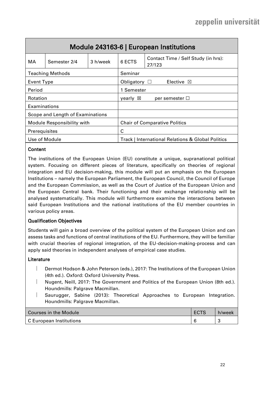<span id="page-21-0"></span>

|                                  | Module 243163-6   European Institutions |                                      |                                                              |                                               |  |  |
|----------------------------------|-----------------------------------------|--------------------------------------|--------------------------------------------------------------|-----------------------------------------------|--|--|
| МA                               | Semester 2/4                            | 3 h/week                             | 6 ECTS                                                       | Contact Time / Self Study (in hrs):<br>27/123 |  |  |
|                                  | <b>Teaching Methods</b>                 |                                      | Seminar                                                      |                                               |  |  |
| <b>Event Type</b>                |                                         |                                      | Obligatory<br>Elective $\boxtimes$<br>$\perp$                |                                               |  |  |
| Period                           |                                         | 1 Semester                           |                                                              |                                               |  |  |
| Rotation                         |                                         | vearly ⊠<br>per semester $\Box$      |                                                              |                                               |  |  |
| Examinations                     |                                         |                                      |                                                              |                                               |  |  |
| Scope and Length of Examinations |                                         |                                      |                                                              |                                               |  |  |
| Module Responsibility with       |                                         | <b>Chair of Comparative Politics</b> |                                                              |                                               |  |  |
| Prerequisites                    |                                         | C                                    |                                                              |                                               |  |  |
| Use of Module                    |                                         |                                      | <b>Track   International Relations &amp; Global Politics</b> |                                               |  |  |

The institutions of the European Union (EU) constitute a unique, supranational political system. Focusing on different pieces of literature, specifically on theories of regional integration and EU decision-making, this module will put an emphasis on the European Institutions – namely the European Parliament, the European Council, the Council of Europe and the European Commission, as well as the Court of Justice of the European Union and the European Central bank. Their functioning and their exchange relationship will be analysed systematically. This module will furthermore examine the interactions between said European Institutions and the national institutions of the EU member countries in various policy areas.

#### Qualification Objectives

Students will gain a broad overview of the political system of the European Union and can assess tasks and functions of central institutions of the EU. Furthermore, they will be familiar with crucial theories of regional integration, of the EU-decision-making-process and can apply said theories in independent analyses of empirical case studies.

- Dermot Hodson & John Peterson (eds.), 2017: The Institutions of the European Union (4th ed.). Oxford: Oxford University Press.
- Nugent, Neill, 2017: The Government and Politics of the European Union (8th ed.). Houndmills: Palgrave Macmillan.
- Saurugger, Sabine (2013): Theoretical Approaches to European Integration. Houndmills: Palgrave Macmillan.

| Courses in the Module   | ECTS | h/week |
|-------------------------|------|--------|
| C European Institutions |      |        |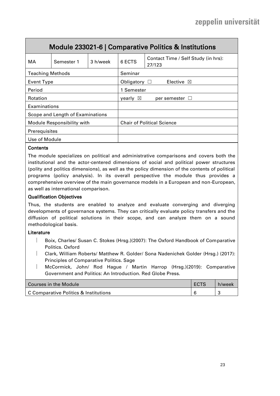<span id="page-22-0"></span>

| Module 233021-6   Comparative Politics & Institutions |            |                                   |                      |                                               |  |
|-------------------------------------------------------|------------|-----------------------------------|----------------------|-----------------------------------------------|--|
| МA                                                    | Semester 1 | 3 h/week                          | 6 ECTS               | Contact Time / Self Study (in hrs):<br>27/123 |  |
| <b>Teaching Methods</b>                               |            |                                   | Seminar              |                                               |  |
| <b>Event Type</b>                                     |            |                                   | Obligatory $\square$ | Elective $\boxtimes$                          |  |
| Period                                                |            | 1 Semester                        |                      |                                               |  |
| Rotation                                              |            | vearly $\boxtimes$                | per semester $\Box$  |                                               |  |
| Examinations                                          |            |                                   |                      |                                               |  |
| Scope and Length of Examinations                      |            |                                   |                      |                                               |  |
| Module Responsibility with                            |            | <b>Chair of Political Science</b> |                      |                                               |  |
| Prerequisites                                         |            |                                   |                      |                                               |  |
| Use of Module                                         |            |                                   |                      |                                               |  |
|                                                       |            |                                   |                      |                                               |  |

The module specializes on political and administrative comparisons and covers both the institutional and the actor-centered dimensions of social and political power structures (polity and politics dimensions), as well as the policy dimension of the contents of political programs (policy analysis). In its overall perspective the module thus provides a comprehensive overview of the main governance models in a European and non-European, as well as international comparison.

#### Qualification Objectives

Thus, the students are enabled to analyze and evaluate converging and diverging developments of governance systems. They can critically evaluate policy transfers and the diffusion of political solutions in their scope, and can analyze them on a sound methodological basis.

- [Boix,](https://www.amazon.de/s/ref=dp_byline_sr_book_1?ie=UTF8&field-author=Carles+Boix&text=Carles+Boix&sort=relevancerank&search-alias=books-de-intl-us) Charles/ Susan C. Stokes (Hrsg.)(2007): The Oxford Handbook of Comparative Politics. Oxford
- Clark, [William Roberts/](https://www.amazon.de/s/ref=dp_byline_sr_book_1?ie=UTF8&field-author=William+Roberts+Clark&text=William+Roberts+Clark&sort=relevancerank&search-alias=books-de-intl-us) [Matthew R. Golder/](https://www.amazon.de/s/ref=dp_byline_sr_book_2?ie=UTF8&field-author=Matthew+R.+Golder&text=Matthew+R.+Golder&sort=relevancerank&search-alias=books-de-intl-us) [Sona Nadenichek Golder](https://www.amazon.de/s/ref=dp_byline_sr_book_3?ie=UTF8&field-author=Sona+Nadenichek+Golder&text=Sona+Nadenichek+Golder&sort=relevancerank&search-alias=books-de-intl-us) (Hrsg.) (2017): Principles of Comparative Politics. Sage
- [McCormick,](https://www.amazon.de/s/ref=ntt_athr_dp_sr_1?_encoding=UTF8&field-author=John%20McCormick&search-alias=books-de-intl-us&sort=relevancerank) John/ [Rod Hague](https://www.amazon.de/s/ref=ntt_athr_dp_sr_2?_encoding=UTF8&field-author=Rod%20Hague&search-alias=books-de-intl-us&sort=relevancerank) / [Martin Harrop](https://www.amazon.de/s/ref=ntt_athr_dp_sr_3?_encoding=UTF8&field-author=Martin%20Harrop&search-alias=books-de-intl-us&sort=relevancerank) (Hrsg.)(2019): Comparative Government and Politics: An Introduction. Red Globe Press.

| <b>Courses in the Module</b>          | <b>ECTS</b> | h/week |
|---------------------------------------|-------------|--------|
| C Comparative Politics & Institutions |             |        |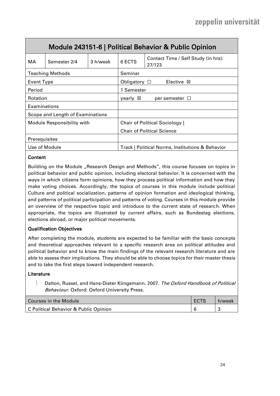<span id="page-23-0"></span>

|                                  | Module 243151-6   Political Behavior & Public Opinion |                                           |                      |                                                  |  |  |
|----------------------------------|-------------------------------------------------------|-------------------------------------------|----------------------|--------------------------------------------------|--|--|
| MA                               | Semester 2/4                                          | 3 h/week                                  | 6 ECTS               | Contact Time / Self Study (in hrs):<br>27/123    |  |  |
| <b>Teaching Methods</b>          |                                                       | Seminar                                   |                      |                                                  |  |  |
| Event Type                       |                                                       |                                           | Obligatory $\square$ | Elective $\boxtimes$                             |  |  |
| Period                           |                                                       | 1 Semester                                |                      |                                                  |  |  |
| Rotation                         |                                                       | yearly $\boxtimes$<br>per semester $\Box$ |                      |                                                  |  |  |
| Examinations                     |                                                       |                                           |                      |                                                  |  |  |
| Scope and Length of Examinations |                                                       |                                           |                      |                                                  |  |  |
| Module Responsibility with       |                                                       | <b>Chair of Political Sociology</b>       |                      |                                                  |  |  |
|                                  |                                                       | <b>Chair of Political Science</b>         |                      |                                                  |  |  |
| <b>Prerequisites</b>             |                                                       |                                           |                      |                                                  |  |  |
| Use of Module                    |                                                       |                                           |                      | Track   Political Norms, Institutions & Behavior |  |  |

Building on the Module "Research Design and Methods", this course focuses on topics in political behavior and public opinion, including electoral behavior. It is concerned with the ways in which citizens form opinions, how they process political information and how they make voting choices. Accordingly, the topics of courses in this module include political Culture and political socialization, patterns of opinion formation and ideological thinking, and patterns of political participation and patterns of voting. Courses in this module provide an overview of the respective topic and introduce to the current state of research. When appropriate, the topics are illustrated by current affairs, such as Bundestag elections, elections abroad, or major political movements.

#### Qualification Objectives

After completing the module, students are expected to be familiar with the basic concepts and theoretical approaches relevant to a specific research area on political attitudes and political behavior and to know the main findings of the relevant research literature and are able to assess their implications. They should be able to choose topics for their master thesis and to take the first steps toward independent research.

#### Literature

Dalton, Russel, and Hans-Dieter Klingemann. 2007. The Oxford Handbook of Political Behaviour. Oxford: Oxford University Press.

| <b>Courses in the Module</b>          | ECTS | h/week |
|---------------------------------------|------|--------|
| C Political Behavior & Public Opinion |      |        |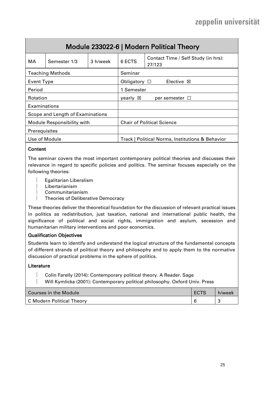<span id="page-24-0"></span>

| Module 233022-6   Modern Political Theory |                         |                                   |                                                  |                                               |  |
|-------------------------------------------|-------------------------|-----------------------------------|--------------------------------------------------|-----------------------------------------------|--|
| МA                                        | Semester 1/3            | 3 h/week                          | 6 ECTS                                           | Contact Time / Self Study (in hrs):<br>27/123 |  |
|                                           | <b>Teaching Methods</b> |                                   | Seminar                                          |                                               |  |
| Event Type                                |                         |                                   | Obligatory $\Box$                                | Elective <b>X</b>                             |  |
| Period                                    |                         | 1 Semester                        |                                                  |                                               |  |
| Rotation                                  |                         | vearly ⊠<br>per semester $\Box$   |                                                  |                                               |  |
| Examinations                              |                         |                                   |                                                  |                                               |  |
| Scope and Length of Examinations          |                         |                                   |                                                  |                                               |  |
| Module Responsibility with                |                         | <b>Chair of Political Science</b> |                                                  |                                               |  |
| Prerequisites                             |                         |                                   |                                                  |                                               |  |
| Use of Module                             |                         |                                   | Track   Political Norms, Institutions & Behavior |                                               |  |

The seminar covers the most important contemporary political theories and discusses their relevance in regard to specific policies and politics. The seminar focuses especially on the following theories:

- Egalitarian Liberalism
- Libertarianism
- Communitarianism
- Theories of Deliberative Democracy

These theories deliver the theoretical foundation for the discussion of relevant practical issues in politics as redistribution, just taxation, national and international public health, the significance of political and social rights, immigration and asylum, secession and humanitarian military interventions and poor economics.

#### Qualification Objectives

Students learn to identify and understand the logical structure of the fundamental concepts of different strands of political theory and philosophy and to apply them to the normative discussion of practical problems in the sphere of politics.

- Colin Farelly (2014): Contemporary political theory. A Reader. Sage
- Will Kymlicka (2001): Contemporary political philosophy. Oxford Univ. Press

| Courses in the Module     | ECTS | h/week |
|---------------------------|------|--------|
| C Modern Political Theory |      |        |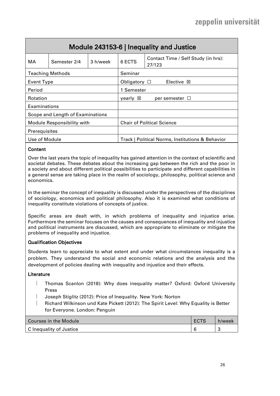<span id="page-25-0"></span>

| Module 243153-6   Inequality and Justice |                         |                                   |                                                  |                                               |  |
|------------------------------------------|-------------------------|-----------------------------------|--------------------------------------------------|-----------------------------------------------|--|
| МA                                       | Semester 2/4            | 3 h/week                          | 6 ECTS                                           | Contact Time / Self Study (in hrs):<br>27/123 |  |
|                                          | <b>Teaching Methods</b> |                                   | Seminar                                          |                                               |  |
| <b>Event Type</b>                        |                         |                                   |                                                  | Obligatory $\square$<br>Elective $\boxtimes$  |  |
| Period                                   |                         | 1 Semester                        |                                                  |                                               |  |
| <b>Rotation</b>                          |                         | vearly ⊠<br>per semester $\Box$   |                                                  |                                               |  |
| Examinations                             |                         |                                   |                                                  |                                               |  |
| Scope and Length of Examinations         |                         |                                   |                                                  |                                               |  |
| Module Responsibility with               |                         | <b>Chair of Political Science</b> |                                                  |                                               |  |
| Prerequisites                            |                         |                                   |                                                  |                                               |  |
| Use of Module                            |                         |                                   | Track   Political Norms, Institutions & Behavior |                                               |  |

Over the last years the topic of inequality has gained attention in the context of scientific and societal debates. These debates about the increasing gap between the rich and the poor in a society and about different political possibilities to participate and different capabilities in a general sense are taking place in the realm of sociology, philosophy, political science and economics.

In the seminar the concept of inequality is discussed under the perspectives of the disciplines of sociology, economics and political philosophy. Also it is examined what conditions of inequality constitute violations of concepts of justice.

Specific areas are dealt with, in which problems of inequality and injustice arise. Furthermore the seminar focuses on the causes and consequences of inequality and injustice and political instruments are discussed, which are appropriate to eliminate or mitigate the problems of inequality and injustice.

#### Qualification Objectives

Students learn to appreciate to what extent and under what circumstances inequality is a problem. They understand the social and economic relations and the analysis and the development of policies dealing with inequality and injustice and their effects.

- Thomas Scanlon (2018): Why does inequality matter? Oxford: Oxford University Press
- Joseph Stiglitz (2012): Price of Inequality. New York: Norton
- Richard Wilkinson und Kate Pickett (2012): The Spirit Level: Why Equality is Better for Everyone. London: Penguin

| Courses in the Module   | ECTS | h/week |
|-------------------------|------|--------|
| C Inequality of Justice |      |        |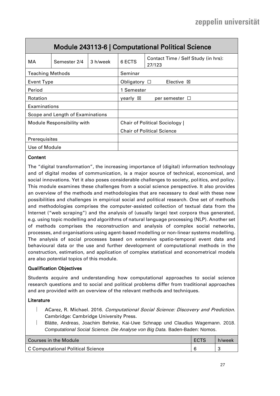<span id="page-26-0"></span>

| Module 243113-6   Computational Political Science |              |                                                  |                      |                                               |  |
|---------------------------------------------------|--------------|--------------------------------------------------|----------------------|-----------------------------------------------|--|
| MA                                                | Semester 2/4 | 3 h/week                                         | 6 ECTS               | Contact Time / Self Study (in hrs):<br>27/123 |  |
| <b>Teaching Methods</b>                           |              | Seminar                                          |                      |                                               |  |
| Event Type                                        |              |                                                  | Obligatory $\square$ | Elective $\boxtimes$                          |  |
| Period                                            |              | 1 Semester                                       |                      |                                               |  |
| Rotation                                          |              | $\vee$ vearly $\boxtimes$<br>per semester $\Box$ |                      |                                               |  |
| Examinations                                      |              |                                                  |                      |                                               |  |
| Scope and Length of Examinations                  |              |                                                  |                      |                                               |  |
| Module Responsibility with                        |              | <b>Chair of Political Sociology  </b>            |                      |                                               |  |
|                                                   |              | <b>Chair of Political Science</b>                |                      |                                               |  |
| Prerequisites                                     |              |                                                  |                      |                                               |  |
| Use of Module                                     |              |                                                  |                      |                                               |  |

The "digital transformation", the increasing importance of (digital) information technology and of digital modes of communication, is a major source of technical, economical, and social innovations. Yet it also poses considerable challenges to society, politics, and policy. This module examines these challenges from a social science perspective. It also provides an overview of the methods and methodologies that are necessary to deal with these new possibilities and challenges in empirical social and political research. One set of methods and methodologies comprises the computer-assisted collection of textual data from the Internet ("web scraping") and the analysis of (usually large) text corpora thus generated, e.g. using topic modelling and algorithms of natural language processing (NLP). Another set of methods comprises the reconstruction and analysis of complex social networks, processes, and organisations using agent-based modelling or non-linear systems modelling. The analysis of social processes based on extensive spatio-temporal event data and behavioural data or the use and further development of computational methods in the construction, estimation, and application of complex statistical and econometrical models are also potential topics of this module.

## Qualification Objectives

Students acquire and understanding how computational approaches to social science research questions and to social and political problems differ from traditional approaches and are provided with an overview of the relevant methods and techniques.

- ACarez, R. Michael. 2016. Computational Social Science: Discovery and Prediction. Cambridge: Cambridge University Press.
- Blätte, Andreas, Joachim Behnke, Kai-Uwe Schnapp und Claudius Wagemann. 2018. *Computational Social Science. Die Analyse von Big Data.* Baden-Baden: Nomos.

| Courses in the Module             | ECTS | h/week |
|-----------------------------------|------|--------|
| C Computational Political Science |      |        |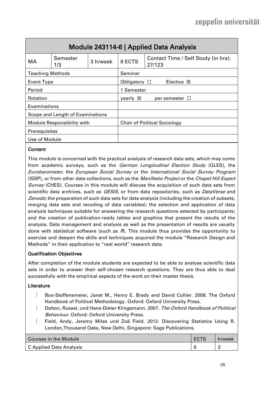<span id="page-27-0"></span>

| Module 243114-6   Applied Data Analysis |                 |                                                  |         |                                               |  |
|-----------------------------------------|-----------------|--------------------------------------------------|---------|-----------------------------------------------|--|
| МA                                      | Semester<br>1/3 | 3 h/week                                         | 6 ECTS  | Contact Time / Self Study (in hrs):<br>27/123 |  |
| <b>Teaching Methods</b>                 |                 |                                                  | Seminar |                                               |  |
| Event Type                              |                 |                                                  |         | Elective $\boxtimes$<br>Obligatory $\Box$     |  |
| Period                                  |                 | 1 Semester                                       |         |                                               |  |
| <b>Rotation</b>                         |                 | $\vee$ vearly $\boxtimes$<br>per semester $\Box$ |         |                                               |  |
| Examinations                            |                 |                                                  |         |                                               |  |
| Scope and Length of Examinations        |                 |                                                  |         |                                               |  |
| Module Responsibility with              |                 | <b>Chair of Political Sociology</b>              |         |                                               |  |
| Prerequisites                           |                 |                                                  |         |                                               |  |
| Use of Module                           |                 |                                                  |         |                                               |  |
|                                         |                 |                                                  |         |                                               |  |

This module is concerned with the practical analysis of research data sets, which may come from academic surveys, such as the *German Longitudinal Election Study* (GLES), the Eurobarometer, the European Social Survey or the International Social Survey Program (ISSP), or from other data collections, such as the Manifesto Project or the Chapel Hill Expert Survey (CHES). Courses in this module will discuss the acquisition of such data sets from scientific data archives, such as GESIS, or from data repositories, such as DataVerse and Zenodo; the preparation of such data sets for data analysis (including the creation of subsets, merging data sets and recoding of data variables); the selection and application of data analysis techniques suitable for answering the research questions selected by participants; and the creation of publication-ready tables and graphics that present the results of the analysis. Data management and analysis as well as the presentation of results are usually done with statistical software (such as  $R$ ). This module thus provides the opportunity to exercise and deepen the skills and techniques acquired the module "Research Design and Methods" in their application to "real world" research data.

#### Qualification Objectives

After completion of the module students are expected to be able to analyse scientific data sets in order to answer their self-chosen research questions. They are thus able to deal successfully with the empirical aspects of the work on their master thesis.

- Box-Steffensmeier, Janet M., Henry E. Brady and David Collier. 2008. The Oxford Handbook of Political Methodology. Oxford: Oxford University Press.
- Dalton, Russel, und Hans-Dieter Klingemann. 2007. The Oxford Handbook of Political Behaviour. Oxford: Oxford University Press.
- Field, Andy, Jeremy Miles und Zoë Field. 2012. Discovering Statistics Using R. London,Thousand Oaks, New Delhi, Singapore: Sage Publications.

| Courses in the Module   | <b>ECTS</b> | h/week |
|-------------------------|-------------|--------|
| C Applied Data Analysis |             | ◡      |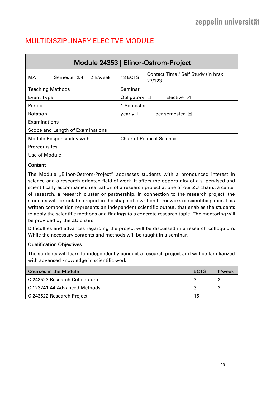# <span id="page-28-0"></span>MULTIDISZIPLINARY ELECITVE MODULE

<span id="page-28-1"></span>

| Module 24353   Elinor-Ostrom-Project |                                  |                           |                                   |                                               |  |  |
|--------------------------------------|----------------------------------|---------------------------|-----------------------------------|-----------------------------------------------|--|--|
| МA                                   | Semester 2/4                     | 2 h/week                  | 18 ECTS                           | Contact Time / Self Study (in hrs):<br>27/123 |  |  |
| <b>Teaching Methods</b>              |                                  |                           | Seminar                           |                                               |  |  |
| <b>Event Type</b>                    |                                  |                           |                                   | Obligatory $\square$<br>Elective $\boxtimes$  |  |  |
| Period                               |                                  | 1 Semester                |                                   |                                               |  |  |
| Rotation                             |                                  | $\mathsf{v}$ early $\Box$ | per semester $\boxtimes$          |                                               |  |  |
| Examinations                         |                                  |                           |                                   |                                               |  |  |
|                                      | Scope and Length of Examinations |                           |                                   |                                               |  |  |
| Module Responsibility with           |                                  |                           | <b>Chair of Political Science</b> |                                               |  |  |
| Prerequisites                        |                                  |                           |                                   |                                               |  |  |
| Use of Module                        |                                  |                           |                                   |                                               |  |  |

### **Content**

The Module "Elinor-Ostrom-Project" addresses students with a pronounced interest in science and a research-oriented field of work. It offers the opportunity of a supervised and scientifically accompanied realization of a research project at one of our ZU chairs, a center of research, a research cluster or partnership. In connection to the research project, the students will formulate a report in the shape of a written homework or scientific paper. This written composition represents an independent scientific output, that enables the students to apply the scientific methods and findings to a concrete research topic. The mentoring will be provided by the ZU chairs.

Difficulties and advances regarding the project will be discussed in a research colloquium. While the necessary contents and methods will be taught in a seminar.

## Qualification Objectives

The students will learn to independently conduct a research project and will be familiarized with advanced knowledge in scientific work.

| Courses in the Module        | ECTS | h/week |
|------------------------------|------|--------|
| C 243523 Research Colloquium |      | ാ      |
| C 123241-44 Advanced Methods | ີ    | ി      |
| C 243522 Research Project    | 15   |        |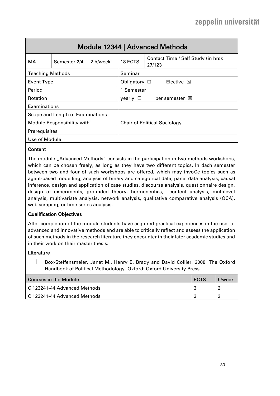<span id="page-29-0"></span>

| Module 12344   Advanced Methods |                                  |                           |                                     |                                               |  |
|---------------------------------|----------------------------------|---------------------------|-------------------------------------|-----------------------------------------------|--|
| МA                              | Semester 2/4                     | 2 h/week                  | 18 ECTS                             | Contact Time / Self Study (in hrs):<br>27/123 |  |
| <b>Teaching Methods</b>         |                                  |                           | Seminar                             |                                               |  |
| <b>Event Type</b>               |                                  |                           | Obligatory $\square$                | Elective $\boxtimes$                          |  |
| Period                          |                                  | 1 Semester                |                                     |                                               |  |
| <b>Rotation</b>                 |                                  | $\mathsf{v}$ early $\Box$ | per semester $\boxtimes$            |                                               |  |
| Examinations                    |                                  |                           |                                     |                                               |  |
|                                 | Scope and Length of Examinations |                           |                                     |                                               |  |
| Module Responsibility with      |                                  |                           | <b>Chair of Political Sociology</b> |                                               |  |
| <b>Prerequisites</b>            |                                  |                           |                                     |                                               |  |
| Use of Module                   |                                  |                           |                                     |                                               |  |

The module "Advanced Methods" consists in the participation in two methods workshops, which can be chosen freely, as long as they have two different topics. In dach semester between two and four of such workshops are offered, which may invoCe topics such as agent-based modelling, analysis of binary and categorical data, panel data analysis, causal inference, design and application of case studies, discourse analysis, questionnaire design, design of experiments, grounded theory, hermeneutics, content analysis, multilevel analysis, multivariate analysis, network analysis, qualitative comparative analysis (QCA), web scraping, or time series analysis.

#### Qualification Objectives

After completion of the module students have acquired practical experiences in the use of advanced and innovative methods and are able to critically reflect and assess the application of such methods in the research literature they encounter in their later academic studies and in their work on their master thesis.

#### Literature

 Box-Steffensmeier, Janet M., Henry E. Brady and David Collier. 2008. The Oxford Handbook of Political Methodology. Oxford: Oxford University Press.

| Courses in the Module        | ECTS | h/week |
|------------------------------|------|--------|
| C 123241-44 Advanced Methods |      |        |
| C 123241-44 Advanced Methods | ◠    |        |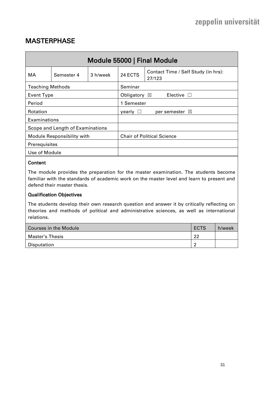# <span id="page-30-0"></span>**MASTERPHASE**

<span id="page-30-1"></span>

| Module 55000   Final Module |                                  |               |                                   |                                               |  |  |
|-----------------------------|----------------------------------|---------------|-----------------------------------|-----------------------------------------------|--|--|
| МA                          | Semester 4                       | 3 h/week      | 24 ECTS                           | Contact Time / Self Study (in hrs):<br>27/123 |  |  |
| <b>Teaching Methods</b>     |                                  |               | Seminar                           |                                               |  |  |
| Event Type                  |                                  |               |                                   | Obligatory ⊠<br>Elective<br>$\Box$            |  |  |
| Period                      |                                  | 1 Semester    |                                   |                                               |  |  |
| <b>Rotation</b>             |                                  | yearly $\Box$ | per semester $\boxtimes$          |                                               |  |  |
| Examinations                |                                  |               |                                   |                                               |  |  |
|                             | Scope and Length of Examinations |               |                                   |                                               |  |  |
| Module Responsibility with  |                                  |               | <b>Chair of Political Science</b> |                                               |  |  |
| <b>Prerequisites</b>        |                                  |               |                                   |                                               |  |  |
| Use of Module               |                                  |               |                                   |                                               |  |  |

## **Content**

The module provides the preparation for the master examination. The students become familiar with the standards of academic work on the master level and learn to present and defend their master thesis.

### Qualification Objectives

The students develop their own research question and answer it by critically reflecting on theories and methods of political and administrative sciences, as well as international relations.

| Courses in the Module  | <b>ECTS</b> | h/week |
|------------------------|-------------|--------|
| <b>Master's Thesis</b> | 22          |        |
| Disputation            | c           |        |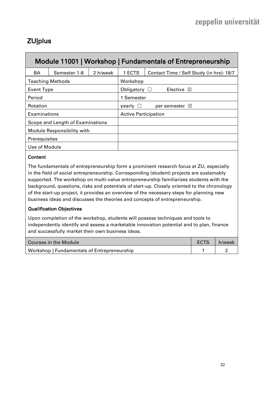# <span id="page-31-0"></span>ZU|plus

# <span id="page-31-1"></span>Module 11001 | Workshop | Fundamentals of Entrepreneurship

| BA                               | Semester 1-8               | 2 h/week                              | 1 ECTS                   | Contact Time / Self Study (in hrs): 18/7 |  |  |
|----------------------------------|----------------------------|---------------------------------------|--------------------------|------------------------------------------|--|--|
|                                  | <b>Teaching Methods</b>    |                                       | Workshop                 |                                          |  |  |
| Event Type                       |                            |                                       | Obligatory $\Box$        | Elective $\boxtimes$                     |  |  |
| Period                           |                            |                                       | 1 Semester               |                                          |  |  |
| Rotation                         |                            | $\mathsf{v}$ earl $\mathsf{v}$ $\Box$ | per semester $\boxtimes$ |                                          |  |  |
| Examinations                     |                            | <b>Active Participation</b>           |                          |                                          |  |  |
| Scope and Length of Examinations |                            |                                       |                          |                                          |  |  |
|                                  | Module Responsibility with |                                       |                          |                                          |  |  |
| Prerequisites                    |                            |                                       |                          |                                          |  |  |
| Use of Module                    |                            |                                       |                          |                                          |  |  |

### **Content**

The fundamentals of entrepreneurship form a prominent research focus at ZU, especially in the field of social entrepreneurship. Corresponding (student) projects are sustainably supported. The workshop on multi-value entrepreneurship familiarizes students with the background, questions, risks and potentials of start-up. Closely oriented to the chronology of the start-up project, it provides an overview of the necessary steps for planning new business ideas and discusses the theories and concepts of entrepreneurship.

#### Qualification Objectives

Upon completion of the workshop, students will possess techniques and tools to independently identify and assess a marketable innovation potential and to plan, finance and successfully market their own business ideas.

| <b>Courses in the Module</b>                | <b>ECTS</b> | h/week |
|---------------------------------------------|-------------|--------|
| Workshop   Fundamentals of Entrepreneurship |             |        |